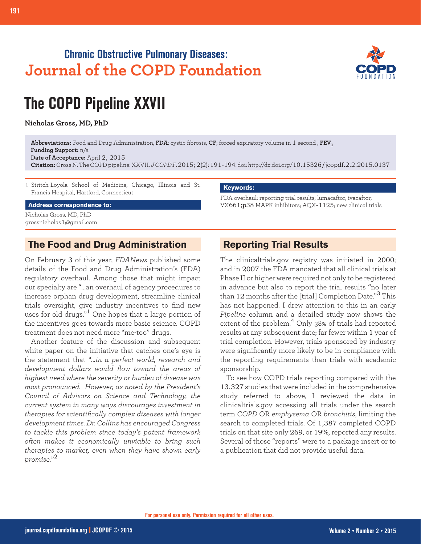## **Chronic Obstructive Pulmonary Diseases: Journal of the COPD Foundation**



# **The COPD Pipeline XXVII**

**Nicholas Gross, MD, PhD**

**Abbreviations:** Food and Drug Administration, **FDA**; cystic fibrosis, **CF**; forced expiratory volume in 1 second , **FEV1 Funding Support:** n/a

**Date of Acceptance:** April 2, 2015

**Citation:** Gross N. The COPD pipeline: XXVII. *J COPD F*. 2015; 2(2): 191-194. doi: http://dx.doi.org/10.15326/jcopdf.2.2.2015.0137

1 Stritch-Loyola School of Medicine, Chicago, Illinois and St. Francis Hospital, Hartford, Connecticut

**Address correspondence to:**

Nicholas Gross, MD, PhD grossnicholas1@gmail.com

#### **The Food and Drug Administration**

On February 3 of this year, *FDANews* published some details of the Food and Drug Administration's (FDA) regulatory overhaul. Among those that might impact our specialty are "…an overhaul of agency procedures to increase orphan drug development, streamline clinical trials oversight, give industry incentives to find new uses for old drugs."1 One hopes that a large portion of the incentives goes towards more basic science. COPD treatment does not need more "me-too" drugs.

Another feature of the discussion and subsequent white paper on the initiative that catches one's eye is the statement that "*…in a perfect world, research and development dollars would flow toward the areas of highest need where the severity or burden of disease was most pronounced. However, as noted by the President's Council of Advisors on Science and Technology, the current system in many ways discourages investment in therapies for scientifically complex diseases with longer development times. Dr. Collins has encouraged Congress to tackle this problem since today's patent framework often makes it economically unviable to bring such therapies to market, even when they have shown early promise.*" 2

#### **Keywords:**

FDA overhaul; reporting trial results; lumacaftor; ivacaftor; VX661;p38 MAPK inhibitors; AQX-1125; new clinical trials

### **Reporting Trial Results**

The clinicaltrials.gov registry was initiated in 2000; and in 2007 the FDA mandated that all clinical trials at Phase II or higher were required not only to be registered in advance but also to report the trial results "no later than 12 months after the [trial] Completion Date."3 This has not happened. I drew attention to this in an early *Pipeline* column and a detailed study now shows the extent of the problem.<sup>4</sup> Only 38% of trials had reported results at any subsequent date; far fewer within 1 year of trial completion. However, trials sponsored by industry were significantly more likely to be in compliance with the reporting requirements than trials with academic sponsorship.

To see how COPD trials reporting compared with the 13,327 studies that were included in the comprehensive study referred to above, I reviewed the data in clinicaltrials.gov accessing all trials under the search term *COPD* OR *emphysema* OR *bronchitis*, limiting the search to completed trials. Of 1,387 completed COPD trials on that site only 269, or 19%, reported any results. Several of those "reports" were to a package insert or to a publication that did not provide useful data.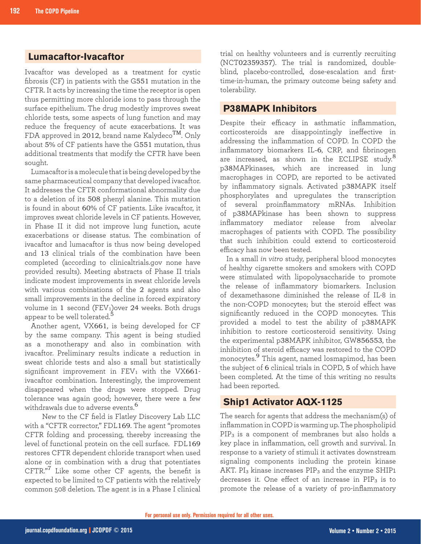## **Lumacaftor-Ivacaftor**

Ivacaftor was developed as a treatment for cystic fibrosis (CF) in patients with the G551 mutation in the CFTR. It acts by increasing the time the receptor is open thus permitting more chloride ions to pass through the surface epithelium. The drug modestly improves sweat chloride tests, some aspects of lung function and may reduce the frequency of acute exacerbations. It was FDA approved in 2012, brand name Kalydeco<sup>TM</sup>. Only about 5% of CF patients have the G551 mutation, thus additional treatments that modify the CFTR have been sought.

Lumacaftor is a molecule that is being developed by the same pharmaceutical company that developed ivacaftor. It addresses the CFTR conformational abnormality due to a deletion of its 508 phenyl alanine. This mutation is found in about 60% of CF patients. Like ivacaftor, it improves sweat chloride levels in CF patients. However, in Phase II it did not improve lung function, acute exacerbations or disease status. The combination of ivacaftor and lumacaftor is thus now being developed and 13 clinical trials of the combination have been completed (according to clinicaltrials.gov none have provided results). Meeting abstracts of Phase II trials indicate modest improvements in sweat chloride levels with various combinations of the 2 agents and also small improvements in the decline in forced expiratory volume in 1 second (FEV<sub>1</sub>)over 24 weeks. Both drugs appear to be well tolerated. $^5$ 

Another agent, VX661, is being developed for CF by the same company. This agent is being studied as a monotherapy and also in combination with ivacaftor. Preliminary results indicate a reduction in sweat chloride tests and also a small but statistically significant improvement in  $FEV_1$  with the VX661ivacaftor combination. Interestingly, the improvement disappeared when the drugs were stopped. Drug tolerance was again good; however, there were a few withdrawals due to adverse events.<sup>6</sup>

 New to the CF field is Flatley Discovery Lab LLC with a "CFTR corrector," FDL169. The agent "promotes CFTR folding and processing, thereby increasing the level of functional protein on the cell surface. FDL169 restores CFTR dependent chloride transport when used alone or in combination with a drug that potentiates CFTR."<sup>7</sup> Like some other CF agents, the benefit is expected to be limited to CF patients with the relatively common 508 deletion. The agent is in a Phase I clinical

trial on healthy volunteers and is currently recruiting (NCT02359357). The trial is randomized, doubleblind, placebo-controlled, dose-escalation and firsttime-in-human, the primary outcome being safety and tolerability.

#### **P38MAPK Inhibitors**

Despite their efficacy in asthmatic inflammation, corticosteroids are disappointingly ineffective in addressing the inflammation of COPD. In COPD the inflammatory biomarkers IL-6, CRP, and fibrinogen are increased, as shown in the ECLIPSE study.<sup>8</sup> p38MAPkinases, which are increased in lung macrophages in COPD, are reported to be activated by inflammatory signals. Activated p38MAPK itself phosphorylates and upregulates the transcription of several proinflammatory mRNAs. Inhibition of p38MAPkinase has been shown to suppress inflammatory mediator release from alveolar macrophages of patients with COPD. The possibility that such inhibition could extend to corticosteroid efficacy has now been tested.

In a small *in vitro* study, peripheral blood monocytes of healthy cigarette smokers and smokers with COPD were stimulated with lipopolysaccharide to promote the release of inflammatory biomarkers. Inclusion of dexamethasone diminished the release of IL-8 in the non-COPD monocytes; but the steroid effect was significantly reduced in the COPD monocytes. This provided a model to test the ability of p38MAPK inhibition to restore corticosteroid sensitivity. Using the experimental p38MAPK inhibitor, GW856553, the inhibition of steroid efficacy was restored to the COPD monocytes.9 This agent, named losmapimod, has been the subject of 6 clinical trials in COPD, 5 of which have been completed. At the time of this writing no results had been reported.

#### **Ship1 Activator AQX-1125**

The search for agents that address the mechanism(s) of inflammation in COPD is warming up. The phospholipid PIP3 is a component of membranes but also holds a key place in inflammation, cell growth and survival. In response to a variety of stimuli it activates downstream signaling components including the protein kinase AKT.  $PI_3$  kinase increases  $PIP_3$  and the enzyme SHIP1 decreases it. One effect of an increase in  $PIP_3$  is to promote the release of a variety of pro-inflammatory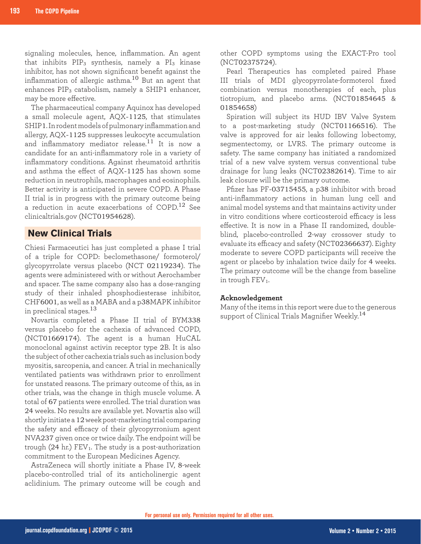signaling molecules, hence, inflammation. An agent that inhibits  $PIP_3$  synthesis, namely a  $PI_3$  kinase inhibitor, has not shown significant benefit against the inflammation of allergic asthma.10 But an agent that enhances PIP3 catabolism, namely a SHIP1 enhancer, may be more effective.

The pharmaceutical company Aquinox has developed a small molecule agent, AQX-1125, that stimulates SHIP1. In rodent models of pulmonary inflammation and allergy, AQX-1125 suppresses leukocyte accumulation and inflammatory mediator release.<sup>11</sup> It is now a candidate for an anti-inflammatory role in a variety of inflammatory conditions. Against rheumatoid arthritis and asthma the effect of AQX-1125 has shown some reduction in neutrophils, macrophages and eosinophils. Better activity is anticipated in severe COPD. A Phase II trial is in progress with the primary outcome being a reduction in acute exacerbations of COPD.12 See clinicaltrials.gov (NCT01954628).

#### **New Clinical Trials**

Chiesi Farmaceutici has just completed a phase I trial of a triple for COPD: beclomethasone/ formoterol/ glycopyrrolate versus placebo (NCT 02119234). The agents were administered with or without Aerochamber and spacer. The same company also has a dose-ranging study of their inhaled phosphodiesterase inhibitor, CHF6001, as well as a MABA and a p38MAPK inhibitor in preclinical stages.<sup>13</sup>

Novartis completed a Phase II trial of BYM338 versus placebo for the cachexia of advanced COPD, (NCT01669174). The agent is a human HuCAL monoclonal against activin receptor type 2B. It is also the subject of other cachexia trials such as inclusion body myositis, sarcopenia, and cancer. A trial in mechanically ventilated patients was withdrawn prior to enrollment for unstated reasons. The primary outcome of this, as in other trials, was the change in thigh muscle volume. A total of 67 patients were enrolled. The trial duration was 24 weeks. No results are available yet. Novartis also will shortly initiate a 12 week post-marketing trial comparing the safety and efficacy of their glycopyrronium agent NVA237 given once or twice daily. The endpoint will be trough  $(24 \text{ hr.})$  FEV<sub>1</sub>. The study is a post-authorization commitment to the European Medicines Agency.

AstraZeneca will shortly initiate a Phase IV, 8-week placebo-controlled trial of its anticholinergic agent aclidinium. The primary outcome will be cough and

other COPD symptoms using the EXACT-Pro tool (NCT02375724).

Pearl Therapeutics has completed paired Phase III trials of MDI glycopyrrolate-formoterol fixed combination versus monotherapies of each, plus tiotropium, and placebo arms. (NCT01854645 & 01854658)

Spiration will subject its HUD IBV Valve System to a post-marketing study (NCT01166516). The valve is approved for air leaks following lobectomy, segmentectomy, or LVRS. The primary outcome is safety. The same company has initiated a randomized trial of a new valve system versus conventional tube drainage for lung leaks (NCT02382614). Time to air leak closure will be the primary outcome.

Pfizer has PF-03715455, a p38 inhibitor with broad anti-inflammatory actions in human lung cell and animal model systems and that maintains activity under in vitro conditions where corticosteroid efficacy is less effective. It is now in a Phase II randomized, doubleblind, placebo-controlled 2-way crossover study to evaluate its efficacy and safety (NCT02366637). Eighty moderate to severe COPD participants will receive the agent or placebo by inhalation twice daily for 4 weeks. The primary outcome will be the change from baseline in trough  $FEV<sub>1</sub>$ .

#### **Acknowledgement**

Many of the items in this report were due to the generous support of Clinical Trials Magnifier Weekly.<sup>14</sup>